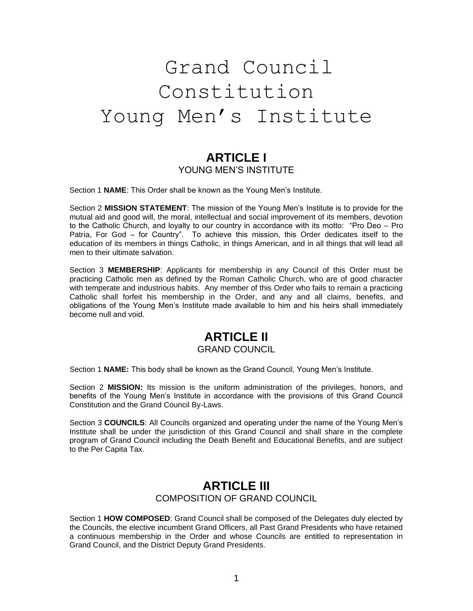# Grand Council Constitution Young Men's Institute

## **ARTICLE I** YOUNG MEN'S INSTITUTE

Section 1 **NAME**: This Order shall be known as the Young Men's Institute.

Section 2 **MISSION STATEMENT**: The mission of the Young Men's Institute is to provide for the mutual aid and good will, the moral, intellectual and social improvement of its members, devotion to the Catholic Church, and loyalty to our country in accordance with its motto: "Pro Deo – Pro Patria, For God – for Country". To achieve this mission, this Order dedicates itself to the education of its members in things Catholic, in things American, and in all things that will lead all men to their ultimate salvation.

Section 3 **MEMBERSHIP**: Applicants for membership in any Council of this Order must be practicing Catholic men as defined by the Roman Catholic Church, who are of good character with temperate and industrious habits. Any member of this Order who fails to remain a practicing Catholic shall forfeit his membership in the Order, and any and all claims, benefits, and obligations of the Young Men's Institute made available to him and his heirs shall immediately become null and void.

# **ARTICLE II**

#### GRAND COUNCIL

Section 1 **NAME:** This body shall be known as the Grand Council, Young Men's Institute.

Section 2 **MISSION:** Its mission is the uniform administration of the privileges, honors, and benefits of the Young Men's Institute in accordance with the provisions of this Grand Council Constitution and the Grand Council By-Laws.

Section 3 **COUNCILS**: All Councils organized and operating under the name of the Young Men's Institute shall be under the jurisdiction of this Grand Council and shall share in the complete program of Grand Council including the Death Benefit and Educational Benefits, and are subject to the Per Capita Tax.

#### **ARTICLE III** COMPOSITION OF GRAND COUNCIL

Section 1 **HOW COMPOSED**: Grand Council shall be composed of the Delegates duly elected by the Councils, the elective incumbent Grand Officers, all Past Grand Presidents who have retained a continuous membership in the Order and whose Councils are entitled to representation in Grand Council, and the District Deputy Grand Presidents.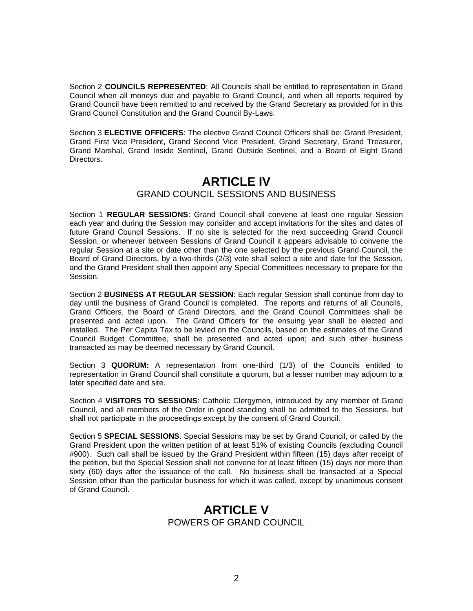Section 2 **COUNCILS REPRESENTED**: All Councils shall be entitled to representation in Grand Council when all moneys due and payable to Grand Council, and when all reports required by Grand Council have been remitted to and received by the Grand Secretary as provided for in this Grand Council Constitution and the Grand Council By-Laws.

Section 3 **ELECTIVE OFFICERS**: The elective Grand Council Officers shall be: Grand President, Grand First Vice President, Grand Second Vice President, Grand Secretary, Grand Treasurer, Grand Marshal, Grand Inside Sentinel, Grand Outside Sentinel, and a Board of Eight Grand Directors.

### **ARTICLE IV** GRAND COUNCIL SESSIONS AND BUSINESS

Section 1 **REGULAR SESSIONS**: Grand Council shall convene at least one regular Session each year and during the Session may consider and accept invitations for the sites and dates of future Grand Council Sessions. If no site is selected for the next succeeding Grand Council Session, or whenever between Sessions of Grand Council it appears advisable to convene the regular Session at a site or date other than the one selected by the previous Grand Council, the Board of Grand Directors, by a two-thirds (2/3) vote shall select a site and date for the Session, and the Grand President shall then appoint any Special Committees necessary to prepare for the Session.

Section 2 **BUSINESS AT REGULAR SESSION**: Each regular Session shall continue from day to day until the business of Grand Council is completed. The reports and returns of all Councils, Grand Officers, the Board of Grand Directors, and the Grand Council Committees shall be presented and acted upon. The Grand Officers for the ensuing year shall be elected and installed. The Per Capita Tax to be levied on the Councils, based on the estimates of the Grand Council Budget Committee, shall be presented and acted upon; and such other business transacted as may be deemed necessary by Grand Council.

Section 3 **QUORUM:** A representation from one-third (1/3) of the Councils entitled to representation in Grand Council shall constitute a quorum, but a lesser number may adjourn to a later specified date and site.

Section 4 **VISITORS TO SESSIONS**: Catholic Clergymen, introduced by any member of Grand Council, and all members of the Order in good standing shall be admitted to the Sessions, but shall not participate in the proceedings except by the consent of Grand Council.

Section 5 **SPECIAL SESSIONS**: Special Sessions may be set by Grand Council, or called by the Grand President upon the written petition of at least 51% of existing Councils (excluding Council #900). Such call shall be issued by the Grand President within fifteen (15) days after receipt of the petition, but the Special Session shall not convene for at least fifteen (15) days nor more than sixty (60) days after the issuance of the call. No business shall be transacted at a Special Session other than the particular business for which it was called, except by unanimous consent of Grand Council.

#### **ARTICLE V** POWERS OF GRAND COUNCIL